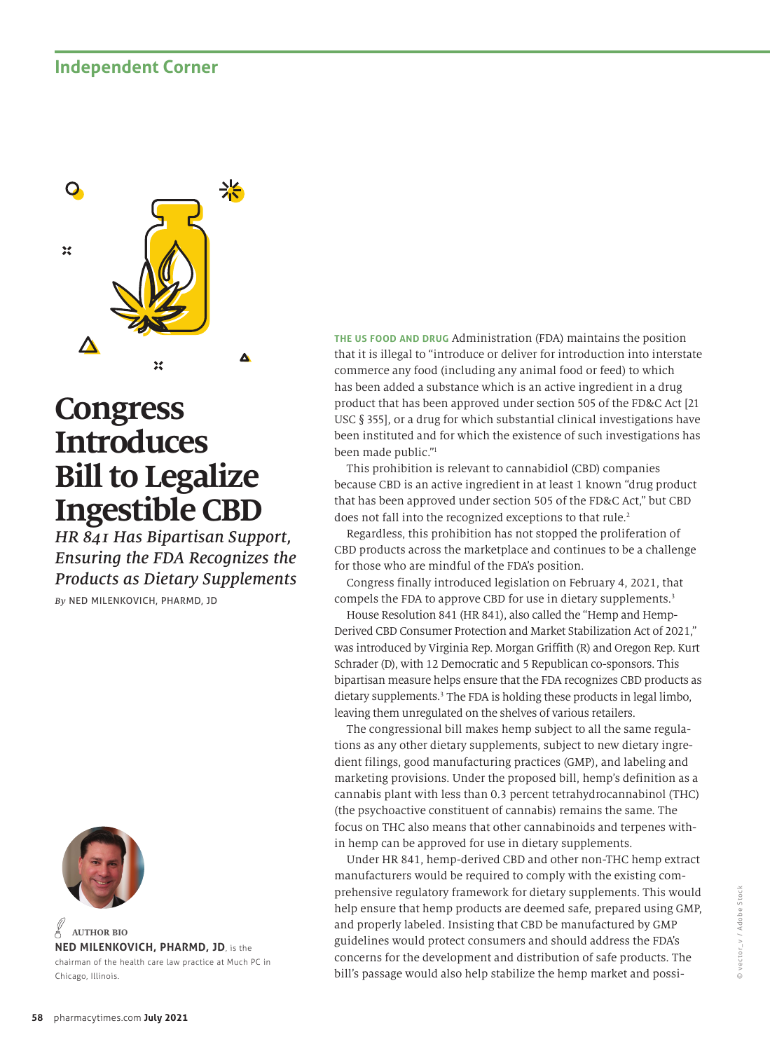## **Independent Corner**



## **Congress Introduces Bill to Legalize Ingestible CBD**

*HR 841 Has Bipartisan Support, Ensuring the FDA Recognizes the Products as Dietary Supplements*

*By* NED MILENKOVICH, PHARMD, JD



**NED MILENKOVICH, PHARMD, JD**, is the chairman of the health care law practice at Much PC in Chicago, Illinois. **AUTHOR BIO**

**THE US FOOD AND DRUG** Administration (FDA) maintains the position that it is illegal to "introduce or deliver for introduction into interstate commerce any food (including any animal food or feed) to which has been added a substance which is an active ingredient in a drug product that has been approved under section 505 of the FD&C Act [21 USC § 355], or a drug for which substantial clinical investigations have been instituted and for which the existence of such investigations has been made public."1

This prohibition is relevant to cannabidiol (CBD) companies because CBD is an active ingredient in at least 1 known "drug product that has been approved under section 505 of the FD&C Act," but CBD does not fall into the recognized exceptions to that rule.<sup>2</sup>

Regardless, this prohibition has not stopped the proliferation of CBD products across the marketplace and continues to be a challenge for those who are mindful of the FDA's position.

Congress finally introduced legislation on February 4, 2021, that compels the FDA to approve CBD for use in dietary supplements.3

House Resolution 841 (HR 841), also called the "Hemp and Hemp-Derived CBD Consumer Protection and Market Stabilization Act of 2021," was introduced by Virginia Rep. Morgan Griffith (R) and Oregon Rep. Kurt Schrader (D), with 12 Democratic and 5 Republican co-sponsors. This bipartisan measure helps ensure that the FDA recognizes CBD products as dietary supplements.3 The FDA is holding these products in legal limbo, leaving them unregulated on the shelves of various retailers.

The congressional bill makes hemp subject to all the same regulations as any other dietary supplements, subject to new dietary ingredient filings, good manufacturing practices (GMP), and labeling and marketing provisions. Under the proposed bill, hemp's definition as a cannabis plant with less than 0.3 percent tetrahydrocannabinol (THC) (the psychoactive constituent of cannabis) remains the same. The focus on THC also means that other cannabinoids and terpenes within hemp can be approved for use in dietary supplements.

Under HR 841, hemp-derived CBD and other non-THC hemp extract manufacturers would be required to comply with the existing comprehensive regulatory framework for dietary supplements. This would help ensure that hemp products are deemed safe, prepared using GMP, and properly labeled. Insisting that CBD be manufactured by GMP guidelines would protect consumers and should address the FDA's concerns for the development and distribution of safe products. The bill's passage would also help stabilize the hemp market and possi-